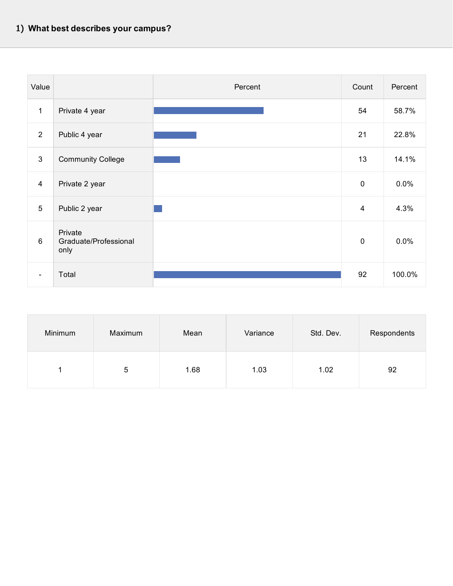| Value          |                                          | Percent | Count          | Percent |
|----------------|------------------------------------------|---------|----------------|---------|
| $\mathbf{1}$   | Private 4 year                           |         | 54             | 58.7%   |
| 2              | Public 4 year                            |         | 21             | 22.8%   |
| $\mathbf{3}$   | <b>Community College</b>                 |         | 13             | 14.1%   |
| $\overline{4}$ | Private 2 year                           |         | $\pmb{0}$      | 0.0%    |
| 5              | Public 2 year                            |         | $\overline{4}$ | 4.3%    |
| 6              | Private<br>Graduate/Professional<br>only |         | $\pmb{0}$      | 0.0%    |
| $\blacksquare$ | Total                                    |         | 92             | 100.0%  |

| Minimum | Maximum | Mean | Variance | Std. Dev. | Respondents |
|---------|---------|------|----------|-----------|-------------|
|         | 5       | 1.68 | 1.03     | 1.02      | 92          |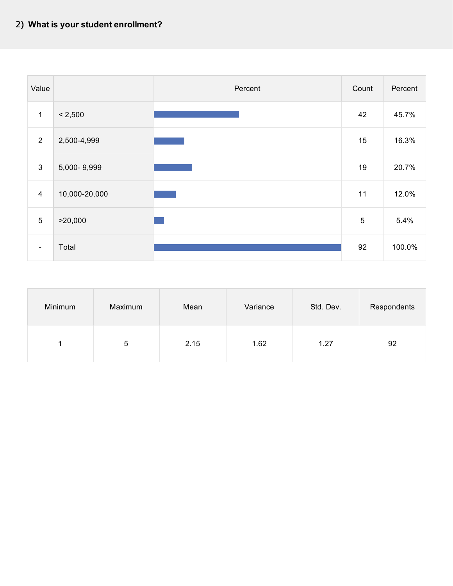

| Minimum | Maximum | Mean | Variance | Std. Dev. | Respondents |
|---------|---------|------|----------|-----------|-------------|
|         | 5       | 2.15 | 1.62     | 1.27      | 92          |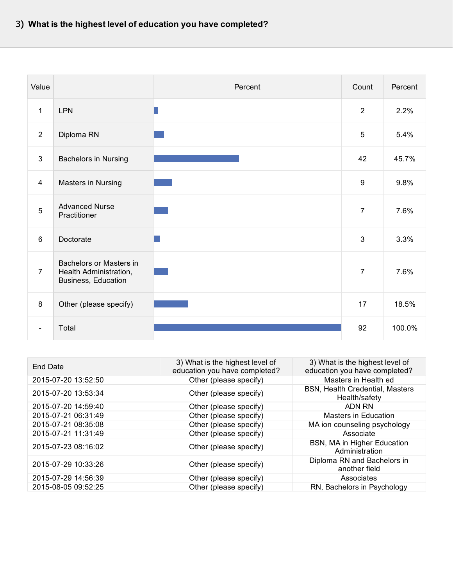| Value                    |                                                                          | Percent | Count            | Percent |
|--------------------------|--------------------------------------------------------------------------|---------|------------------|---------|
| $\mathbf 1$              | <b>LPN</b>                                                               |         | 2                | 2.2%    |
| 2                        | Diploma RN                                                               |         | $\overline{5}$   | 5.4%    |
| $\mathbf{3}$             | Bachelors in Nursing                                                     |         | 42               | 45.7%   |
| $\overline{4}$           | Masters in Nursing                                                       |         | $\boldsymbol{9}$ | 9.8%    |
| $5\phantom{.0}$          | <b>Advanced Nurse</b><br>Practitioner                                    |         | $\overline{7}$   | 7.6%    |
| 6                        | Doctorate                                                                |         | 3                | 3.3%    |
| $\overline{7}$           | Bachelors or Masters in<br>Health Administration,<br>Business, Education |         | $\overline{7}$   | 7.6%    |
| 8                        | Other (please specify)                                                   |         | 17               | 18.5%   |
| $\overline{\phantom{a}}$ | Total                                                                    |         | 92               | 100.0%  |

| End Date            | 3) What is the highest level of<br>education you have completed? | 3) What is the highest level of<br>education you have completed? |
|---------------------|------------------------------------------------------------------|------------------------------------------------------------------|
| 2015-07-20 13:52:50 | Other (please specify)                                           | Masters in Health ed                                             |
| 2015-07-20 13:53:34 | Other (please specify)                                           | <b>BSN, Health Credential, Masters</b><br>Health/safety          |
| 2015-07-20 14:59:40 | Other (please specify)                                           | <b>ADN RN</b>                                                    |
| 2015-07-21 06:31:49 | Other (please specify)                                           | Masters in Education                                             |
| 2015-07-21 08:35:08 | Other (please specify)                                           | MA ion counseling psychology                                     |
| 2015-07-21 11:31:49 | Other (please specify)                                           | Associate                                                        |
| 2015-07-23 08:16:02 | Other (please specify)                                           | BSN, MA in Higher Education<br>Administration                    |
| 2015-07-29 10:33:26 | Other (please specify)                                           | Diploma RN and Bachelors in<br>another field                     |
| 2015-07-29 14:56:39 | Other (please specify)                                           | Associates                                                       |
| 2015-08-05 09:52:25 | Other (please specify)                                           | RN, Bachelors in Psychology                                      |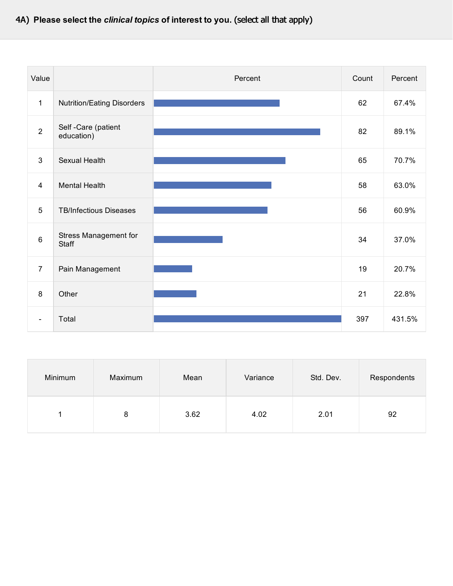## 4A) **Please select the** *clinical topics* **of interest to you.** (select all that apply)

| Value                    |                                       | Percent | Count | Percent |
|--------------------------|---------------------------------------|---------|-------|---------|
| $\mathbf 1$              | <b>Nutrition/Eating Disorders</b>     |         | 62    | 67.4%   |
| $\overline{2}$           | Self - Care (patient<br>education)    |         | 82    | 89.1%   |
| 3                        | Sexual Health                         |         | 65    | 70.7%   |
| $\overline{4}$           | <b>Mental Health</b>                  |         | 58    | 63.0%   |
| 5                        | <b>TB/Infectious Diseases</b>         |         | 56    | 60.9%   |
| $6\phantom{1}$           | <b>Stress Management for</b><br>Staff |         | 34    | 37.0%   |
| $\overline{7}$           | Pain Management                       |         | 19    | 20.7%   |
| 8                        | Other                                 |         | 21    | 22.8%   |
| $\overline{\phantom{a}}$ | Total                                 |         | 397   | 431.5%  |

| Minimum | Maximum | Mean | Variance | Std. Dev. | Respondents |
|---------|---------|------|----------|-----------|-------------|
|         | 8       | 3.62 | 4.02     | 2.01      | 92          |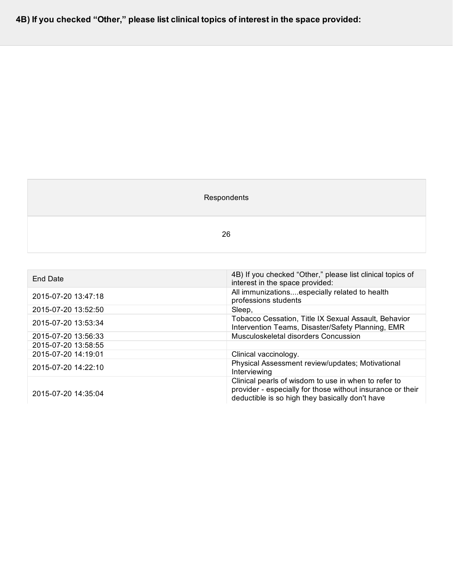**4B) If you checked "Other," please list clinical topics of interest in the space provided:**

## Respondents

26

| <b>End Date</b>     | 4B) If you checked "Other," please list clinical topics of<br>interest in the space provided:                                                                         |
|---------------------|-----------------------------------------------------------------------------------------------------------------------------------------------------------------------|
| 2015-07-20 13:47:18 | All immunizationsespecially related to health<br>professions students                                                                                                 |
| 2015-07-20 13:52:50 | Sleep,                                                                                                                                                                |
| 2015-07-20 13:53:34 | Tobacco Cessation, Title IX Sexual Assault, Behavior<br>Intervention Teams, Disaster/Safety Planning, EMR                                                             |
| 2015-07-20 13:56:33 | Musculoskeletal disorders Concussion                                                                                                                                  |
| 2015-07-20 13:58:55 |                                                                                                                                                                       |
| 2015-07-20 14:19:01 | Clinical vaccinology.                                                                                                                                                 |
| 2015-07-20 14:22:10 | Physical Assessment review/updates; Motivational<br>Interviewing                                                                                                      |
| 2015-07-20 14:35:04 | Clinical pearls of wisdom to use in when to refer to<br>provider - especially for those without insurance or their<br>deductible is so high they basically don't have |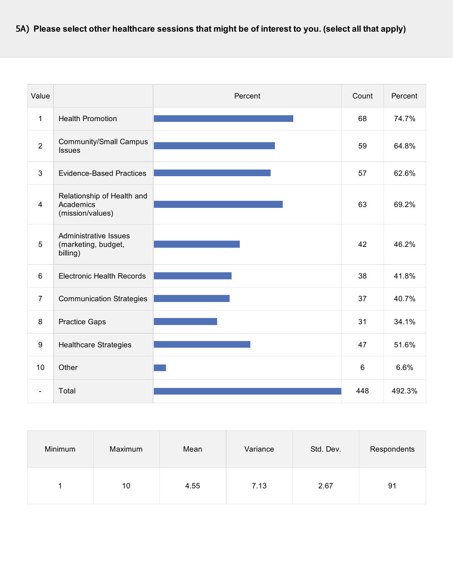| Value           |                                                             | Percent | Count          | Percent |
|-----------------|-------------------------------------------------------------|---------|----------------|---------|
| $\mathbf 1$     | <b>Health Promotion</b>                                     |         | 68             | 74.7%   |
| $\overline{2}$  | <b>Community/Small Campus</b><br>Issues                     |         | 59             | 64.8%   |
| 3               | <b>Evidence-Based Practices</b>                             |         | 57             | 62.6%   |
| $\overline{4}$  | Relationship of Health and<br>Academics<br>(mission/values) |         | 63             | 69.2%   |
| $5\phantom{.0}$ | Administrative Issues<br>(marketing, budget,<br>billing)    |         | 42             | 46.2%   |
| 6               | <b>Electronic Health Records</b>                            |         | 38             | 41.8%   |
| $\overline{7}$  | <b>Communication Strategies</b>                             |         | 37             | 40.7%   |
| $\,8\,$         | <b>Practice Gaps</b>                                        |         | 31             | 34.1%   |
| $9\,$           | <b>Healthcare Strategies</b>                                |         | 47             | 51.6%   |
| 10              | Other                                                       |         | $6\phantom{1}$ | 6.6%    |
|                 | Total                                                       |         | 448            | 492.3%  |

| Minimum | Maximum | Mean | Variance | Std. Dev. | Respondents |
|---------|---------|------|----------|-----------|-------------|
|         | 10      | 4.55 | 7.13     | 2.67      | 91          |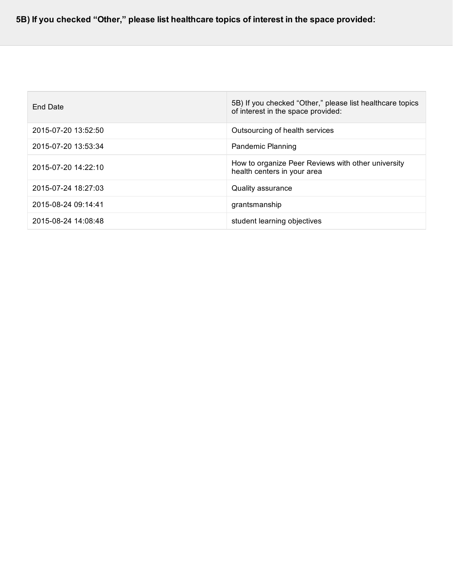| End Date            | 5B) If you checked "Other," please list healthcare topics<br>of interest in the space provided: |
|---------------------|-------------------------------------------------------------------------------------------------|
| 2015-07-20 13:52:50 | Outsourcing of health services                                                                  |
| 2015-07-20 13:53:34 | <b>Pandemic Planning</b>                                                                        |
| 2015-07-20 14:22:10 | How to organize Peer Reviews with other university<br>health centers in your area               |
| 2015-07-24 18:27:03 | Quality assurance                                                                               |
| 2015-08-24 09:14:41 | grantsmanship                                                                                   |
| 2015-08-24 14:08:48 | student learning objectives                                                                     |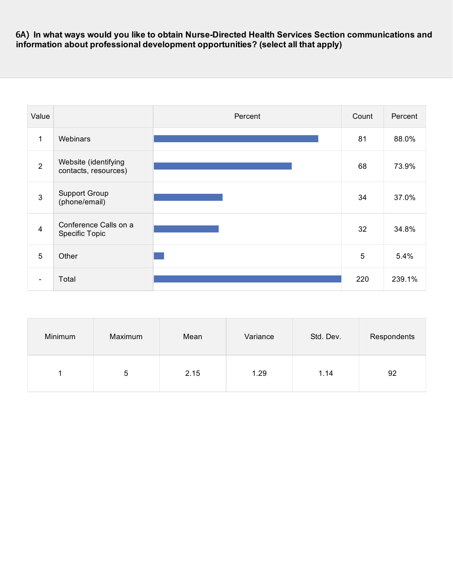6A) **In what ways would you like to obtain Nurse-Directed Health Services Section communications and information about professional development opportunities? (select all that apply)**

| Value          |                                              | Percent | Count | Percent |
|----------------|----------------------------------------------|---------|-------|---------|
| $\mathbf{1}$   | Webinars                                     |         | 81    | 88.0%   |
| 2              | Website (identifying<br>contacts, resources) |         | 68    | 73.9%   |
| $\mathbf{3}$   | <b>Support Group</b><br>(phone/email)        |         | 34    | 37.0%   |
| $\overline{4}$ | Conference Calls on a<br>Specific Topic      |         | 32    | 34.8%   |
| 5              | Other                                        |         | 5     | 5.4%    |
| $\blacksquare$ | Total                                        |         | 220   | 239.1%  |

| Minimum | Maximum | Mean | Variance | Std. Dev. | Respondents |
|---------|---------|------|----------|-----------|-------------|
|         | 5       | 2.15 | 1.29     | 1.14      | 92          |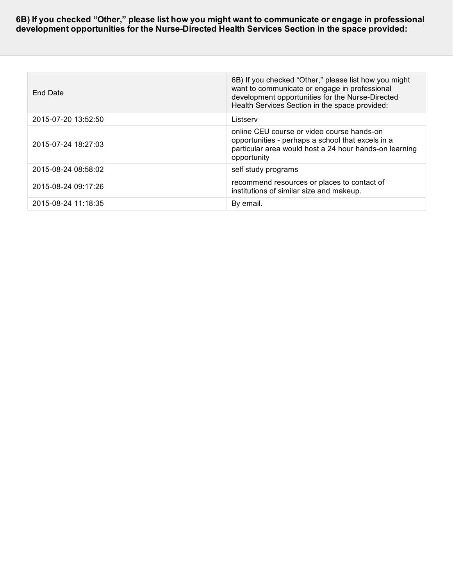**6B) If you checked "Other," please list how you might want to communicate or engage in professional development opportunities for the Nurse-Directed Health Services Section in the space provided:**

| End Date            | 6B) If you checked "Other," please list how you might<br>want to communicate or engage in professional<br>development opportunities for the Nurse-Directed<br>Health Services Section in the space provided: |
|---------------------|--------------------------------------------------------------------------------------------------------------------------------------------------------------------------------------------------------------|
| 2015-07-20 13:52:50 | Listserv                                                                                                                                                                                                     |
| 2015-07-24 18:27:03 | online CEU course or video course hands-on<br>opportunities - perhaps a school that excels in a<br>particular area would host a 24 hour hands-on learning<br>opportunity                                     |
| 2015-08-24 08:58:02 | self study programs                                                                                                                                                                                          |
| 2015-08-24 09:17:26 | recommend resources or places to contact of<br>institutions of similar size and makeup.                                                                                                                      |
| 2015-08-24 11:18:35 | By email.                                                                                                                                                                                                    |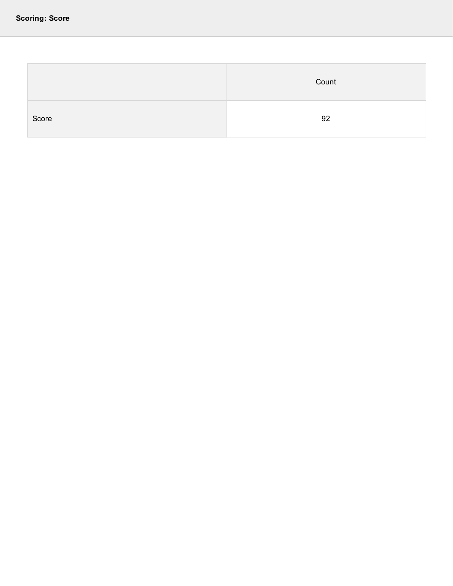|       | Count |
|-------|-------|
| Score | 92    |